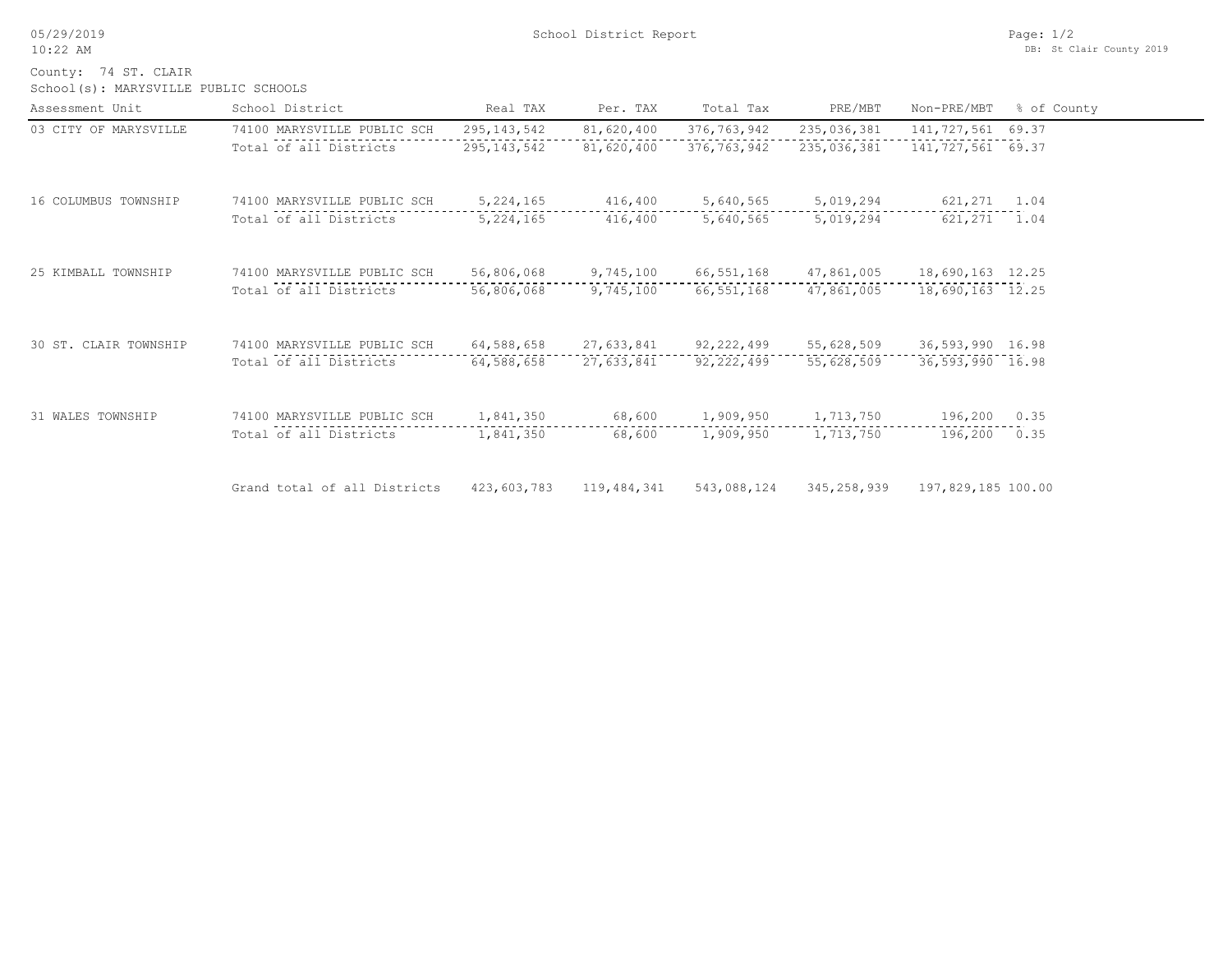05/29/2019 10:22 AM

School(s): MARYSVILLE PUBLIC SCHOOLS County: 74 ST. CLAIR

| Assessment Unit       | School District              | Real TAX      | Per. TAX    | Total Tax    | PRE/MBT     | Non-PRE/MBT         | % of County |
|-----------------------|------------------------------|---------------|-------------|--------------|-------------|---------------------|-------------|
| 03 CITY OF MARYSVILLE | 74100 MARYSVILLE PUBLIC SCH  | 295, 143, 542 | 81,620,400  | 376,763,942  | 235,036,381 | 141,727,561 69.37   |             |
|                       | Total of all Districts       | 295, 143, 542 | 81,620,400  | 376,763,942  | 235,036,381 | 141, 727, 561 69.37 |             |
| 16 COLUMBUS TOWNSHIP  | 74100 MARYSVILLE PUBLIC SCH  | 5, 224, 165   | 416,400     | 5,640,565    | 5,019,294   | 621,271             | 1.04        |
|                       | Total of all Districts       | 5, 224, 165   | 416,400     | 5,640,565    | 5,019,294   | 621,271             | 1.04        |
| 25 KIMBALL TOWNSHIP   | 74100 MARYSVILLE PUBLIC SCH  | 56,806,068    | 9,745,100   | 66,551,168   | 47,861,005  | 18,690,163 12.25    |             |
|                       | Total of all Districts       | 56,806,068    | 9,745,100   | 66,551,168   | 47,861,005  | 18,690,163 12.25    |             |
| 30 ST. CLAIR TOWNSHIP | 74100 MARYSVILLE PUBLIC SCH  | 64,588,658    | 27,633,841  | 92,222,499   | 55,628,509  | 36,593,990 16.98    |             |
|                       | Total of all Districts       | 64,588,658    | 27,633,841  | 92, 222, 499 | 55,628,509  | 36,593,990 16.98    |             |
| 31 WALES TOWNSHIP     | 74100 MARYSVILLE PUBLIC SCH  | 1,841,350     | 68,600      | 1,909,950    | 1,713,750   | 196,200             | 0.35        |
|                       | Total of all Districts       | 1,841,350     | 68,600      | 1,909,950    | 1,713,750   | 196,200             | 0.35        |
|                       | Grand total of all Districts | 423,603,783   | 119,484,341 | 543,088,124  | 345,258,939 | 197,829,185 100.00  |             |